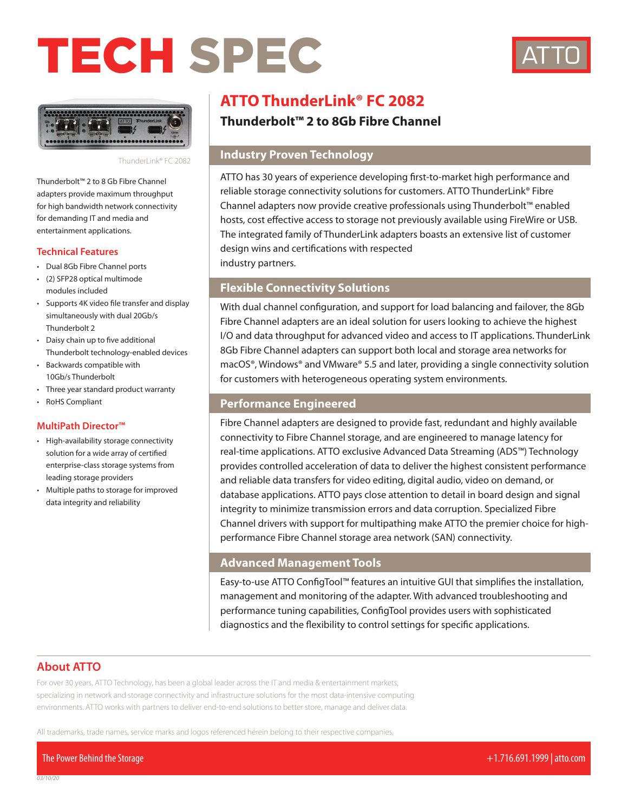# TECH SPEC





ThunderLink® FC 2082

Thunderbolt™ 2 to 8 Gb Fibre Channel adapters provide maximum throughput for high bandwidth network connectivity for demanding IT and media and entertainment applications.

#### **Technical Features**

- Dual 8Gb Fibre Channel ports
- (2) SFP28 optical multimode modules included
- Supports 4K video file transfer and display simultaneously with dual 20Gb/s Thunderbolt 2
- Daisy chain up to five additional Thunderbolt technology-enabled devices
- Backwards compatible with 10Gb/s Thunderbolt
- Three year standard product warranty
- RoHS Compliant

### **MultiPath Director™**

- High-availability storage connectivity solution for a wide array of certified enterprise-class storage systems from leading storage providers
- Multiple paths to storage for improved data integrity and reliability

# **ATTO ThunderLink® FC 2082**

# **Thunderbolt™ 2 to 8Gb Fibre Channel**

# **Industry Proven Technology**

ATTO has 30 years of experience developing first-to-market high performance and reliable storage connectivity solutions for customers. ATTO ThunderLink® Fibre Channel adapters now provide creative professionals using Thunderbolt™ enabled hosts, cost effective access to storage not previously available using FireWire or USB. The integrated family of ThunderLink adapters boasts an extensive list of customer design wins and certifications with respected industry partners.

# **Flexible Connectivity Solutions**

With dual channel configuration, and support for load balancing and failover, the 8Gb Fibre Channel adapters are an ideal solution for users looking to achieve the highest I/O and data throughput for advanced video and access to IT applications. ThunderLink 8Gb Fibre Channel adapters can support both local and storage area networks for macOS®, Windows® and VMware® 5.5 and later, providing a single connectivity solution for customers with heterogeneous operating system environments.

### **Performance Engineered**

Fibre Channel adapters are designed to provide fast, redundant and highly available connectivity to Fibre Channel storage, and are engineered to manage latency for real-time applications. ATTO exclusive Advanced Data Streaming (ADS™) Technology provides controlled acceleration of data to deliver the highest consistent performance and reliable data transfers for video editing, digital audio, video on demand, or database applications. ATTO pays close attention to detail in board design and signal integrity to minimize transmission errors and data corruption. Specialized Fibre Channel drivers with support for multipathing make ATTO the premier choice for highperformance Fibre Channel storage area network (SAN) connectivity.

## **Advanced Management Tools**

Easy-to-use ATTO ConfigTool™ features an intuitive GUI that simplifies the installation, management and monitoring of the adapter. With advanced troubleshooting and performance tuning capabilities, ConfigTool provides users with sophisticated diagnostics and the flexibility to control settings for specific applications.

# **About ATTO**

For over 30 years, ATTO Technology, has been a global leader across the IT and media & entertainment markets, specializing in network and storage connectivity and infrastructure solutions for the most data-intensive computing environments. ATTO works with partners to deliver end-to-end solutions to better store, manage and deliver data.

All trademarks, trade names, service marks and logos referenced herein belong to their respective companies.

The Power Behind the Storage +1.716.691.1999 | atto.com